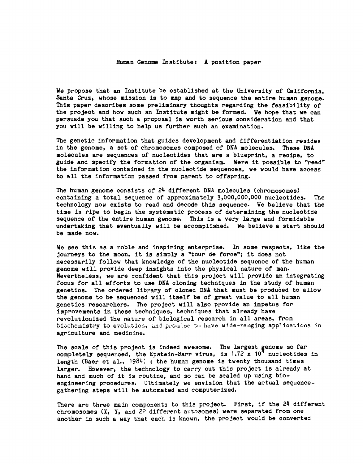## **Human Genome Institute: A position paper**

**We propose that an Institute be established at the University of California, Santa Cruz, whose mission is to map and to sequence the entire human genome. This paper describes some preliminary thoughts regarding the feasibility of the project and how such an Institute might be formed. We hope that we can persuade you that such a proposal is worth serious consideration and that you will be willing to help us further such an examination.**

**The genetic information that guides development and differentiation resides in the genome, a set of chromosomes composed of DNA molecules. These DNA molecules are sequences of nucleotides that are a blueprint, a recipe, to guide and specify the formation of the organism. Were it possible to "read" the information contained in the nucleotide sequences, we would have access to all the information passed from parent to offspring.**

**The human genome consists of 24 different DNA molecules (chromosomes) containing a total sequence of approximately 3,000,000,000 nucleotides. The technology now exists to read and decode this sequence. We believe that the time is ripe to begin the systematic process of determining the nucleotide sequence of the entire human genome. This is a very large and formidable undertaking that eventually will be accomplished. We believe a start should be made now.**

**We see this as a noble and inspiring enterprise. In some respects, like the journeys to the moon, it Is simply a "tour de force"; It does not necessarily follow that knowledge of the nucleotide sequence of the human genome will provide deep insights into the physical nature of man. Nevertheless, we are confident that this project will provide an integrating focus for all efforts to use DNA cloning techniques in the study of human genetics. The ordered library of cloned DNA that must be produced to allow the genome to be sequenced will itself be of great value to all human genetics researchers. The project will also provide an impetus for improvements in these techniques, techniques that already have revolutionized the nature of biological research in all areas, from** biochemistry to evolution, and promise to have wide-ranging applications in **agriculture and medicine.**

**The scale of this project Is indeed awesome. The largest genome so far** completely sequenced, the Epstein-Barr virus, is 1.72 x 10<sup>4</sup> nucleotides in **length (Baer et al., 1984) ; the human genome is twenty thousand times larger. However, the technology to carry out this project is already at hand and much of it is routine, and so can be scaled up using bioengineering procedures. Ultimately we envision that the actual sequencegathering steps will be automated and computerized.**

**There are three main components to this project. First, if the 24 different chromosomes (X, Y, and 22 different autosomes) were separated from one another in such a way that each Is known, the project would be converted**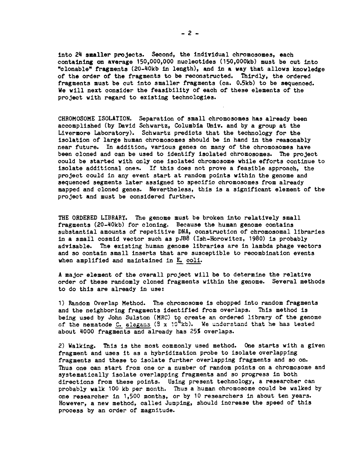**Into 24 smaller projects. Second, the Individual chromosomes, each containing on average 150,000,000 nucleotides (150,000kb) must be cut into "clonable" fragments (20-40kb in length), and in a way that allows knowledge of the order of the fragments to be reconstructed. Thirdly, the ordered fragments must be cut into smaller fragments (ca. 0.5kb) to be sequenced. We will next consider the feasibility of each of these elements of the project with regard to existing technologies.**

**CHROMOSOME ISOLATION. Separation of small chromosomes has already been accomplished (by David Schwartz, Columbia Univ. and by a group at the Livermore Laboratory). Schwartz predicts that the technology for the isolation of large human chromosomes should be in hand in the reasonably near future. In addition, various genes on many of the chromosomes have been cloned and can be used to identify Isolated chromosomes. The project could be started with only one isolated chromosome while efforts continue to Isolate additional ones. If this does not prove a feasible approach, the project could in any event start at random points within the genome and sequenced segments later assigned to specific chromosomes from already mapped and cloned genes. Nevertheless, this is a significant element of the project and must be considered further.**

**THE ORDERED LIBRARY. The genome must be broken into relatively small fragments (20-40kb) for cloning. Because the human genome contains substantial amounts of repetitive DNA, construction of chromosomal libraries in a small cosmid vector such as pJB8 (Ish-Horowitcz, 1980) is probably advisable. The existing human genome libraries are in lambda phage vectors and so contain small inserts that are susceptible to recombination events when amplified and maintained in E. coli.**

**A major element of the overall project will be to determine the relative order of these randomly cloned fragments within the genome. Several methods to do this are already in use:**

**1) Random Overlap Method. The chromosome is chopped into random fragments and the neighboring fragments identified from overlaps. This method is being used by John Sulston (MRC) to create an ordered library of the genome of the nematode C. elegans (8 x 10^4 kb). We understand that he has tested about 4000 fragments and already has 25% overlaps.**

**2) Walking. This is the most commonly used method. One starts with a given fragment and uses it as a hybridization probe to isolate overlapping fragments and these to isolate further overlapping fragments and so on. Thus one can start from one or a number of random points on a chromosome and systematically isolate overlapping fragments and so progress In both directions from these points. Using present technology, a researcher can probably walk 100 kb per month. Thus a human chromosome could be walked by one researcher in 1,500 months, or by 10 researchers in about ten years. However, a new method, called Jumping, should increase the speed of this process by an order of magnitude.**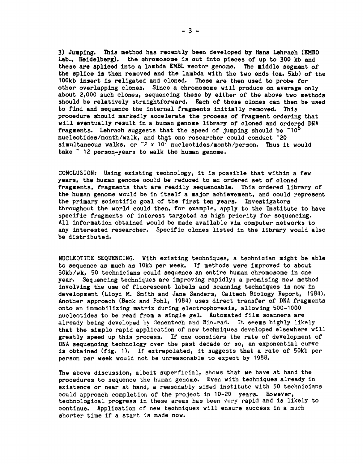**3) Jumping. This method has recently been developed by Hans Lehrach (EMBO Lab., Heidelberg), the chromosome is cut into pieces of up to 300 kb and these are spliced into a lambda EMBL vector genome. The middle segment of the splice is then removed and the lambda with the two ends (ca. 5kb) of the 100kb insert is religated and cloned. These are then used to probe for other overlapping clones. Since a chromosome will produce on average only about 2,000 such clones, sequencing these by either of the above two methods should be relatively straightforward. Each of these clones can then be used to find and sequence the Internal fragments Initially removed. This procedure should markedly accelerate the process of fragment ordering that will eventually result in a human genome library of cloned and ordered DNA fragments. Lehrach suggests that the speed of jumping should be ~10^6 nucleotides/month/walk, and that one researcher could conduct ~20 simultaneous walks, or ~2 x 10' nucleotides/month/person. Thus it would take ~ 12 person-years to walk the human genome.**

**CONCLUSION: Using existing technology, it is possible that within a few years, the human genome could be reduced to an ordered set of cloned fragments, fragments that are readily sequencable. This ordered library of the human genome would be in itself a major achievement, and could represent the primary scientific goal of the first ten years. Investigators throughout the world could then, for example, apply to the Institute to have specific fragments of interest targeted as high priority for sequencing. All information obtained would be made available via computer networks to any interested researcher. Specific clones listed in the library would also be distributed.**

**NUCLEOTIDE SEQUENCING. With existing techniques, a technician might be able to sequence as much as 10kb per week. If methods were improved to about 50kb/wk, 50 technicians could sequence an entire human chromosome in one year. Sequencing techniques are improving rapidly; a promising new method involving the use of fluorescent labels and scanning techniques is now in development (Lloyd M. Smith and Jane Sanders, Caltech Biology Report, 1984). Another approach (Beck and Pohl, 1984) uses direct transfer of DNA fragments onto an immobilizing matrix during electrophoresis, allowing 500-1000 nucleotides to be read from a single gel. Automated film scanners are already being developed by Genentech and Bio-rad. It seems highly likely that the simple rapid application of new techniques developed elsewhere will greatly speed up this process. If one considers the rate of development of DNA sequencing technology over the past decade or so, an exponential curve is obtained (fig. 1). If extrapolated, it suggests that a rate of 50kb per person per week would not be unreasonable to expect by 1988.**

**The above discussion, albeit superficial, shows that we have at hand the procedures to sequence the human genome. Even with techniques already in existence or near at hand, a reasonably sized institute with 50 technicians could approach completion of the project in 10-20 years. However, technological progress in these areas has been very rapid and is likely to continue. Application of new techniques will ensure success in a much shorter time if a start is made now.**